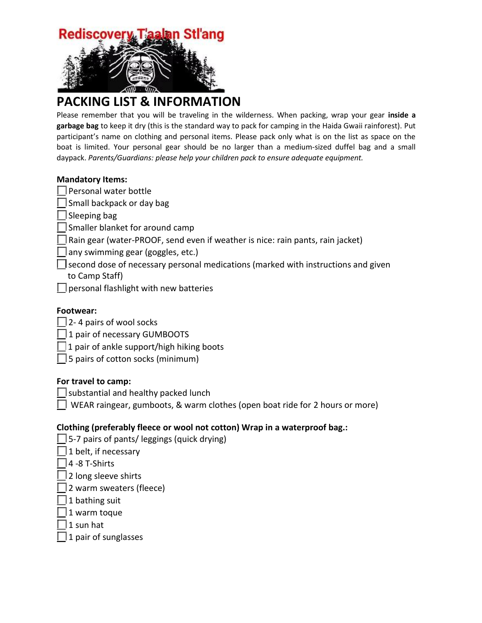

# **PACKING LIST & INFORMATION**

Please remember that you will be traveling in the wilderness. When packing, wrap your gear **inside a garbage bag** to keep it dry (this is the standard way to pack for camping in the Haida Gwaii rainforest). Put participant's name on clothing and personal items. Please pack only what is on the list as space on the boat is limited. Your personal gear should be no larger than a medium-sized duffel bag and a small daypack. *Parents/Guardians: please help your children pack to ensure adequate equipment.*

## **Mandatory Items:**

 $\Box$  Personal water bottle

 $\Box$  Small backpack or day bag

| Sleeping bag

Smaller blanket for around camp

- Rain gear (water-PROOF, send even if weather is nice: rain pants, rain jacket)
- any swimming gear (goggles, etc.)
- $\Box$  second dose of necessary personal medications (marked with instructions and given to Camp Staff)
- $\Box$  personal flashlight with new batteries

# **Footwear:**

- $\Box$  2-4 pairs of wool socks
- $\Box$  1 pair of necessary GUMBOOTS
- $\Box$  1 pair of ankle support/high hiking boots
- $\Box$  5 pairs of cotton socks (minimum)

## **For travel to camp:**

- $\Box$  substantial and healthy packed lunch
- $\Box$  WEAR raingear, gumboots, & warm clothes (open boat ride for 2 hours or more)

# **Clothing (preferably fleece or wool not cotton) Wrap in a waterproof bag.:**

- $\Box$  5-7 pairs of pants/ leggings (quick drying)
- $\Box$  1 belt, if necessary
- $\Box$  4 -8 T-Shirts
- $\Box$  2 long sleeve shirts
- $\lfloor$  2 warm sweaters (fleece)
- $\Box$  1 bathing suit
- $\Box$  1 warm toque
- $1$  sun hat
- $\lceil$  1 pair of sunglasses